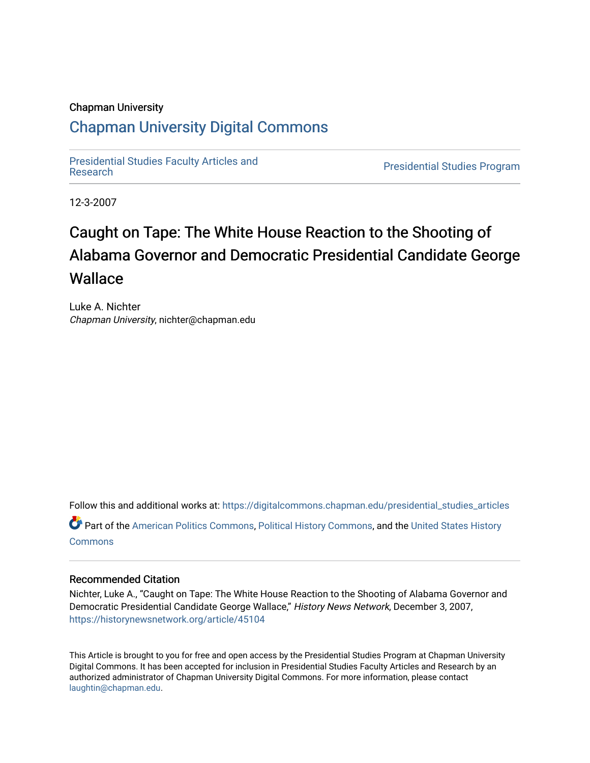#### Chapman University

# [Chapman University Digital Commons](https://digitalcommons.chapman.edu/)

[Presidential Studies Faculty Articles and](https://digitalcommons.chapman.edu/presidential_studies_articles) 

**Presidential Studies Program** 

12-3-2007

# Caught on Tape: The White House Reaction to the Shooting of Alabama Governor and Democratic Presidential Candidate George **Wallace**

Luke A. Nichter Chapman University, nichter@chapman.edu

Follow this and additional works at: [https://digitalcommons.chapman.edu/presidential\\_studies\\_articles](https://digitalcommons.chapman.edu/presidential_studies_articles?utm_source=digitalcommons.chapman.edu%2Fpresidential_studies_articles%2F4&utm_medium=PDF&utm_campaign=PDFCoverPages) 

Part of the [American Politics Commons,](http://network.bepress.com/hgg/discipline/387?utm_source=digitalcommons.chapman.edu%2Fpresidential_studies_articles%2F4&utm_medium=PDF&utm_campaign=PDFCoverPages) [Political History Commons,](http://network.bepress.com/hgg/discipline/505?utm_source=digitalcommons.chapman.edu%2Fpresidential_studies_articles%2F4&utm_medium=PDF&utm_campaign=PDFCoverPages) and the [United States History](http://network.bepress.com/hgg/discipline/495?utm_source=digitalcommons.chapman.edu%2Fpresidential_studies_articles%2F4&utm_medium=PDF&utm_campaign=PDFCoverPages) **[Commons](http://network.bepress.com/hgg/discipline/495?utm_source=digitalcommons.chapman.edu%2Fpresidential_studies_articles%2F4&utm_medium=PDF&utm_campaign=PDFCoverPages)** 

#### Recommended Citation

Nichter, Luke A., "Caught on Tape: The White House Reaction to the Shooting of Alabama Governor and Democratic Presidential Candidate George Wallace," History News Network, December 3, 2007, <https://historynewsnetwork.org/article/45104>

This Article is brought to you for free and open access by the Presidential Studies Program at Chapman University Digital Commons. It has been accepted for inclusion in Presidential Studies Faculty Articles and Research by an authorized administrator of Chapman University Digital Commons. For more information, please contact [laughtin@chapman.edu.](mailto:laughtin@chapman.edu)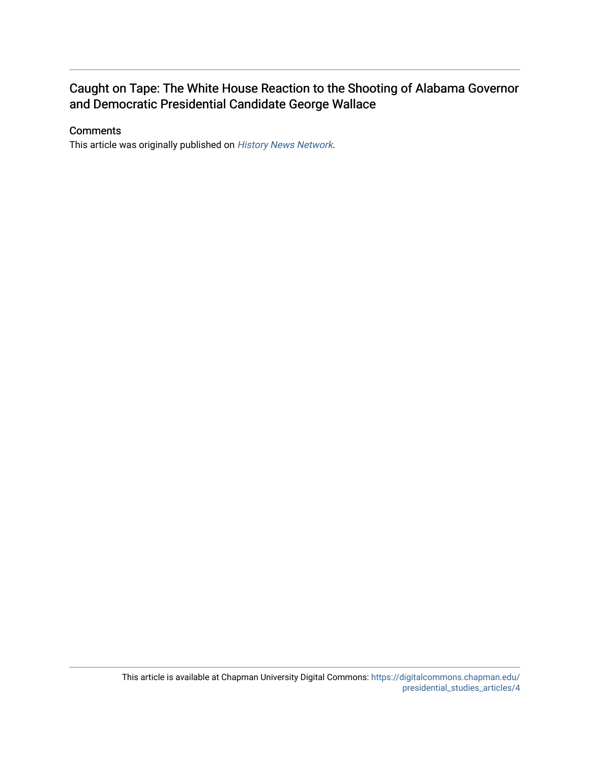# Caught on Tape: The White House Reaction to the Shooting of Alabama Governor and Democratic Presidential Candidate George Wallace

## **Comments**

This article was originally published on [History News Network](https://historynewsnetwork.org/article/45104).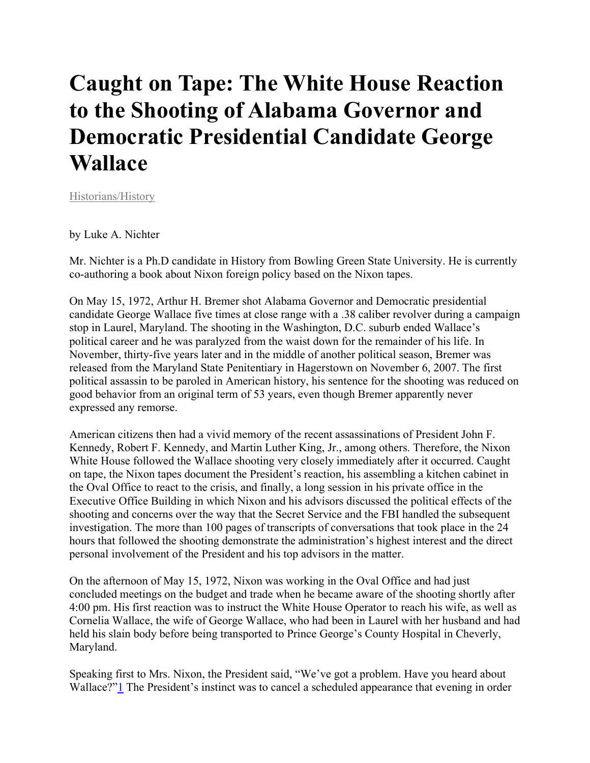# **Caught on Tape: The White House Reaction to the Shooting of Alabama Governor and Democratic Presidential Candidate George Wallace**

[Historians/History](https://historynewsnetwork.org/article/category/2) 

## by Luke A. Nichter

Mr. Nichter is a Ph.D candidate in History from Bowling Green State University. He is currently co-authoring a book about Nixon foreign policy based on the Nixon tapes.

On May 15, 1972, Arthur H. Bremer shot Alabama Governor and Democratic presidential candidate George Wallace five times at close range with a .38 caliber revolver during a campaign stop in Laurel, Maryland. The shooting in the Washington, D.C. suburb ended Wallace's political career and he was paralyzed from the waist down for the remainder of his life. In November, thirty-five years later and in the middle of another political season, Bremer was released from the Maryland State Penitentiary in Hagerstown on November 6, 2007. The first political assassin to be paroled in American history, his sentence for the shooting was reduced on good behavior from an original term of 53 years, even though Bremer apparently never expressed any remorse.

American citizens then had a vivid memory of the recent assassinations of President John F. Kennedy, Robert F. Kennedy, and Martin Luther King, Jr., among others. Therefore, the Nixon White House followed the Wallace shooting very closely immediately after it occurred. Caught on tape, the Nixon tapes document the President's reaction, his assembling a kitchen cabinet in the Oval Office to react to the crisis, and finally, a long session in his private office in the Executive Office Building in which Nixon and his advisors discussed the political effects of the shooting and concerns over the way that the Secret Service and the FBI handled the subsequent investigation. The more than 100 pages of transcripts of conversations that took place in the 24 hours that followed the shooting demonstrate the administration's highest interest and the direct personal involvement of the President and his top advisors in the matter.

On the afternoon of May 15, 1972, Nixon was working in the Oval Office and had just concluded meetings on the budget and trade when he became aware of the shooting shortly after 4:00 pm. His first reaction was to instruct the White House Operator to reach his wife, as well as Cornelia Wallace, the wife of George Wallace, who had been in Laurel with her husband and had held his slain body before being transported to Prince George's County Hospital in Cheverly, Maryland.

Speaking first to Mrs. Nixon, the President said, "We've got a problem. Have you heard about Wallace?"<sup>1</sup> The President's instinct was to cancel a scheduled appearance that evening in order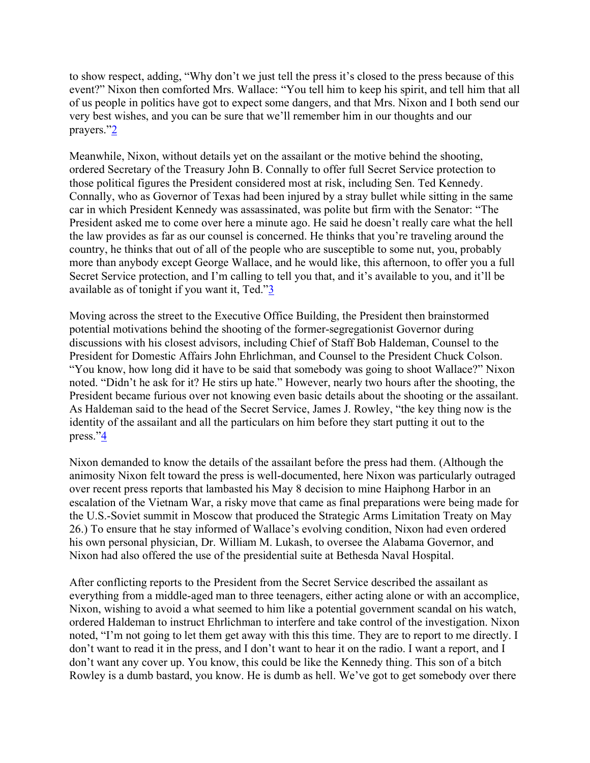to show respect, adding, "Why don't we just tell the press it's closed to the press because of this event?" Nixon then comforted Mrs. Wallace: "You tell him to keep his spirit, and tell him that all of us people in politics have got to expect some dangers, and that Mrs. Nixon and I both send our very best wishes, and you can be sure that we'll remember him in our thoughts and our prayers.["2](https://historynewsnetwork.org/article/45104#_ftn2)

Meanwhile, Nixon, without details yet on the assailant or the motive behind the shooting, ordered Secretary of the Treasury John B. Connally to offer full Secret Service protection to those political figures the President considered most at risk, including Sen. Ted Kennedy. Connally, who as Governor of Texas had been injured by a stray bullet while sitting in the same car in which President Kennedy was assassinated, was polite but firm with the Senator: "The President asked me to come over here a minute ago. He said he doesn't really care what the hell the law provides as far as our counsel is concerned. He thinks that you're traveling around the country, he thinks that out of all of the people who are susceptible to some nut, you, probably more than anybody except George Wallace, and he would like, this afternoon, to offer you a full Secret Service protection, and I'm calling to tell you that, and it's available to you, and it'll be available as of tonight if you want it, Ted.["3](https://historynewsnetwork.org/article/45104#_ftn3)

Moving across the street to the Executive Office Building, the President then brainstormed potential motivations behind the shooting of the former-segregationist Governor during discussions with his closest advisors, including Chief of Staff Bob Haldeman, Counsel to the President for Domestic Affairs John Ehrlichman, and Counsel to the President Chuck Colson. "You know, how long did it have to be said that somebody was going to shoot Wallace?" Nixon noted. "Didn't he ask for it? He stirs up hate." However, nearly two hours after the shooting, the President became furious over not knowing even basic details about the shooting or the assailant. As Haldeman said to the head of the Secret Service, James J. Rowley, "the key thing now is the identity of the assailant and all the particulars on him before they start putting it out to the press.["4](https://historynewsnetwork.org/article/45104#_ftn4)

Nixon demanded to know the details of the assailant before the press had them. (Although the animosity Nixon felt toward the press is well-documented, here Nixon was particularly outraged over recent press reports that lambasted his May 8 decision to mine Haiphong Harbor in an escalation of the Vietnam War, a risky move that came as final preparations were being made for the U.S.-Soviet summit in Moscow that produced the Strategic Arms Limitation Treaty on May 26.) To ensure that he stay informed of Wallace's evolving condition, Nixon had even ordered his own personal physician, Dr. William M. Lukash, to oversee the Alabama Governor, and Nixon had also offered the use of the presidential suite at Bethesda Naval Hospital.

After conflicting reports to the President from the Secret Service described the assailant as everything from a middle-aged man to three teenagers, either acting alone or with an accomplice, Nixon, wishing to avoid a what seemed to him like a potential government scandal on his watch, ordered Haldeman to instruct Ehrlichman to interfere and take control of the investigation. Nixon noted, "I'm not going to let them get away with this this time. They are to report to me directly. I don't want to read it in the press, and I don't want to hear it on the radio. I want a report, and I don't want any cover up. You know, this could be like the Kennedy thing. This son of a bitch Rowley is a dumb bastard, you know. He is dumb as hell. We've got to get somebody over there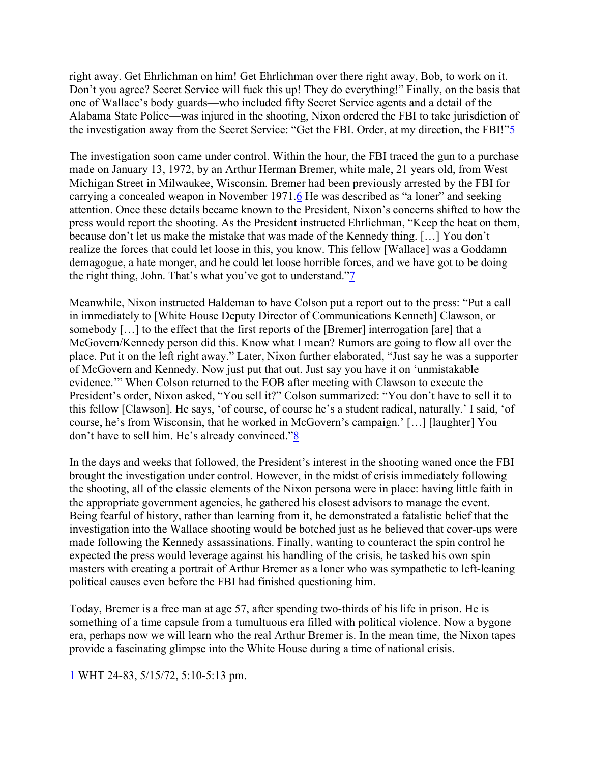right away. Get Ehrlichman on him! Get Ehrlichman over there right away, Bob, to work on it. Don't you agree? Secret Service will fuck this up! They do everything!" Finally, on the basis that one of Wallace's body guards—who included fifty Secret Service agents and a detail of the Alabama State Police—was injured in the shooting, Nixon ordered the FBI to take jurisdiction of the investigation away from the Secret Service: "Get the FBI. Order, at my direction, the FBI!["5](https://historynewsnetwork.org/article/45104#_ftn5)

The investigation soon came under control. Within the hour, the FBI traced the gun to a purchase made on January 13, 1972, by an Arthur Herman Bremer, white male, 21 years old, from West Michigan Street in Milwaukee, Wisconsin. Bremer had been previously arrested by the FBI for carrying a concealed weapon in November 1971[.6](https://historynewsnetwork.org/article/45104#_ftn6) He was described as "a loner" and seeking attention. Once these details became known to the President, Nixon's concerns shifted to how the press would report the shooting. As the President instructed Ehrlichman, "Keep the heat on them, because don't let us make the mistake that was made of the Kennedy thing. […] You don't realize the forces that could let loose in this, you know. This fellow [Wallace] was a Goddamn demagogue, a hate monger, and he could let loose horrible forces, and we have got to be doing the right thing, John. That's what you've got to understand.["7](https://historynewsnetwork.org/article/45104#_ftn7)

Meanwhile, Nixon instructed Haldeman to have Colson put a report out to the press: "Put a call in immediately to [White House Deputy Director of Communications Kenneth] Clawson, or somebody […] to the effect that the first reports of the [Bremer] interrogation [are] that a McGovern/Kennedy person did this. Know what I mean? Rumors are going to flow all over the place. Put it on the left right away." Later, Nixon further elaborated, "Just say he was a supporter of McGovern and Kennedy. Now just put that out. Just say you have it on 'unmistakable evidence.'" When Colson returned to the EOB after meeting with Clawson to execute the President's order, Nixon asked, "You sell it?" Colson summarized: "You don't have to sell it to this fellow [Clawson]. He says, 'of course, of course he's a student radical, naturally.' I said, 'of course, he's from Wisconsin, that he worked in McGovern's campaign.' […] [laughter] You don't have to sell him. He's already convinced.["8](https://historynewsnetwork.org/article/45104#_ftn8)

In the days and weeks that followed, the President's interest in the shooting waned once the FBI brought the investigation under control. However, in the midst of crisis immediately following the shooting, all of the classic elements of the Nixon persona were in place: having little faith in the appropriate government agencies, he gathered his closest advisors to manage the event. Being fearful of history, rather than learning from it, he demonstrated a fatalistic belief that the investigation into the Wallace shooting would be botched just as he believed that cover-ups were made following the Kennedy assassinations. Finally, wanting to counteract the spin control he expected the press would leverage against his handling of the crisis, he tasked his own spin masters with creating a portrait of Arthur Bremer as a loner who was sympathetic to left-leaning political causes even before the FBI had finished questioning him.

Today, Bremer is a free man at age 57, after spending two-thirds of his life in prison. He is something of a time capsule from a tumultuous era filled with political violence. Now a bygone era, perhaps now we will learn who the real Arthur Bremer is. In the mean time, the Nixon tapes provide a fascinating glimpse into the White House during a time of national crisis.

[1](https://historynewsnetwork.org/article/45104#_ftnref1) WHT 24-83, 5/15/72, 5:10-5:13 pm.